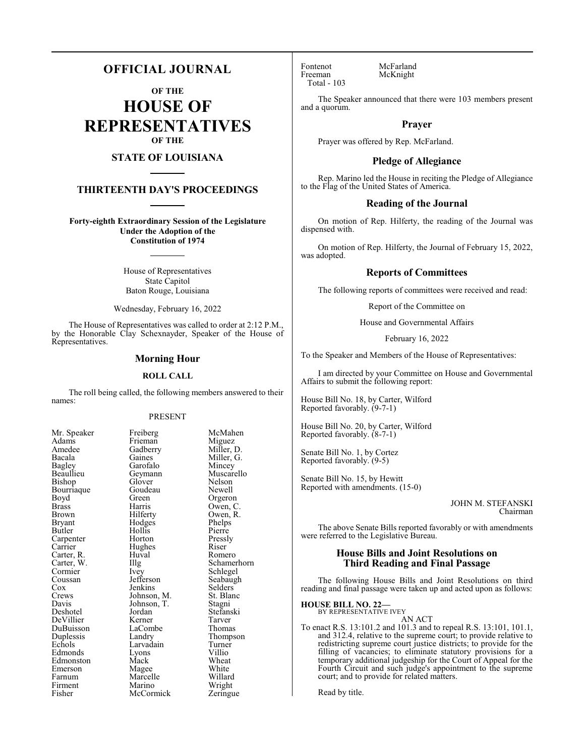## **OFFICIAL JOURNAL**

**OF THE**

**HOUSE OF REPRESENTATIVES OF THE**

## **STATE OF LOUISIANA**

## **THIRTEENTH DAY'S PROCEEDINGS**

**Forty-eighth Extraordinary Session of the Legislature Under the Adoption of the Constitution of 1974**

> House of Representatives State Capitol Baton Rouge, Louisiana

Wednesday, February 16, 2022

The House of Representatives was called to order at 2:12 P.M., by the Honorable Clay Schexnayder, Speaker of the House of Representatives.

#### **Morning Hour**

#### **ROLL CALL**

The roll being called, the following members answered to their names:

#### PRESENT

Frieman<br>Gadberry

Garofalo<br>Geymann

Goudeau<br>Green

Hughes<br>Huyal

Johnson, T.<br>Jordan

LaCombe<br>Landry

Marcelle<br>Marino

| Mr. Speaker              |
|--------------------------|
| Adams                    |
| Amedee                   |
| Bacala                   |
| Bagley                   |
| Beaullieu                |
| Bishop                   |
| Bourriaque               |
| Boyd                     |
| <b>Brass</b>             |
| <b>Brown</b>             |
| <b>Bryant</b>            |
| Butler                   |
| Carpenter                |
| Carrier                  |
|                          |
| Carter, R.<br>Carter, W. |
| Cormier                  |
| Coussan<br>Cox           |
|                          |
| Crews                    |
| Davis                    |
| Deshotel                 |
| DeVillier                |
| DuBuisson                |
| Duplessis                |
| Echols                   |
| Edmonds                  |
| Edmonston                |
| Emerson                  |
| Farnum                   |
| Firment                  |
| Fisher                   |

Freiberg McMahen<br>Frieman Miguez Gadberry Miller, D.<br>Gaines Miller, G. Miller, G.<br>Mincey Muscarello<br>Nelson Glover Nelson<br>Goudeau Newell Green Orgeron<br>Harris Owen, C Harris Owen, C.<br>Hilferty Owen, R. Owen, R.<br>Phelps Hodges Phelps<br>Hollis Pierre Hollis Pierre<br>
Horton Pressly Horton Pressl<br>Hughes Riser Huval Romero<br>Illg Schamer Illg Schamerhorn<br>Ivey Schlegel Schlegel<br>Seabaugh Jefferson Seabaug<br>Jenkins Selders Jenkins Selders<br>Johnson, M. St. Blanc Johnson, M. St. Blanch<br>Johnson, T. Stagni Stefanski<br>Tarver Kerner Tarver<br>LaCombe Thomas Thompson<br>Turner Larvadain Turner<br>Lyons Villio Eyons Villio<br>Mack Wheat Edmonston Mack Wheat Magee White<br>
Marcelle Willard Wright<br>Zeringue **McCormick** 

Fontenot McFarland<br>Freeman McKnight Total - 103

McKnight

The Speaker announced that there were 103 members present and a quorum.

## **Prayer**

Prayer was offered by Rep. McFarland.

#### **Pledge of Allegiance**

Rep. Marino led the House in reciting the Pledge of Allegiance to the Flag of the United States of America.

#### **Reading of the Journal**

On motion of Rep. Hilferty, the reading of the Journal was dispensed with.

On motion of Rep. Hilferty, the Journal of February 15, 2022, was adopted.

## **Reports of Committees**

The following reports of committees were received and read:

Report of the Committee on

House and Governmental Affairs

February 16, 2022

To the Speaker and Members of the House of Representatives:

I am directed by your Committee on House and Governmental Affairs to submit the following report:

House Bill No. 18, by Carter, Wilford Reported favorably. (9-7-1)

House Bill No. 20, by Carter, Wilford Reported favorably. (8-7-1)

Senate Bill No. 1, by Cortez Reported favorably. (9-5)

Senate Bill No. 15, by Hewitt Reported with amendments. (15-0)

> JOHN M. STEFANSKI Chairman

The above Senate Bills reported favorably or with amendments were referred to the Legislative Bureau.

## **House Bills and Joint Resolutions on Third Reading and Final Passage**

The following House Bills and Joint Resolutions on third reading and final passage were taken up and acted upon as follows:

**HOUSE BILL NO. 22—** BY REPRESENTATIVE IVEY

AN ACT

To enact R.S. 13:101.2 and 101.3 and to repeal R.S. 13:101, 101.1, and 312.4, relative to the supreme court; to provide relative to redistricting supreme court justice districts; to provide for the filling of vacancies; to eliminate statutory provisions for a temporary additional judgeship for the Court of Appeal for the Fourth Circuit and such judge's appointment to the supreme court; and to provide for related matters.

Read by title.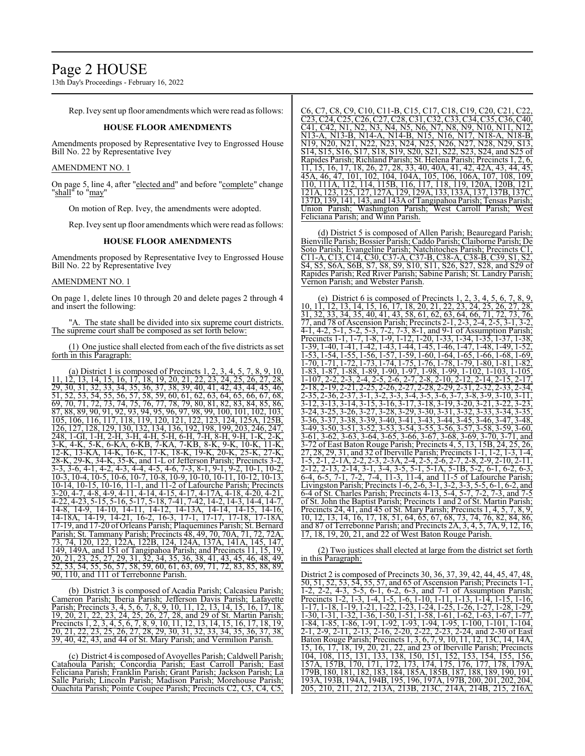13th Day's Proceedings - February 16, 2022

Rep. Ivey sent up floor amendments which were read as follows:

#### **HOUSE FLOOR AMENDMENTS**

Amendments proposed by Representative Ivey to Engrossed House Bill No. 22 by Representative Ivey

#### AMENDMENT NO. 1

On page 5, line 4, after "elected and" and before "complete" change "<u>shall</u>" to "<u>may</u>"

On motion of Rep. Ivey, the amendments were adopted.

Rep. Ivey sent up floor amendments which were read as follows:

#### **HOUSE FLOOR AMENDMENTS**

Amendments proposed by Representative Ivey to Engrossed House Bill No. 22 by Representative Ivey

#### AMENDMENT NO. 1

On page 1, delete lines 10 through 20 and delete pages 2 through 4 and insert the following:

"A. The state shall be divided into six supreme court districts. The supreme court shall be composed as set forth below:

(1) One justice shall elected fromeach ofthe five districts as set forth in this Paragraph:

(a) District 1 is composed of Precincts 1, 2, 3, 4, 5, 7, 8, 9, 10, 11, 12, 13, 14, 15, 16, 17, 18, 19, 20, 21, 22, 23, 24, 25, 26, 27, 28, 29, 30, 31, 32, 33, 34, 35, 36, 37, 38, 39, 40, 41, 42, 43, 44, 45, 46, 51, 52, 53, 54, 55, 56, 57, 58, 59, 60, 61, 62, 63, 64, 65, 66, 67, 68, 69, 70, 71, 72, 73, 74, 75, 76, 77, 78, 79, 80, 81, 82, 83, 84, 85, 86, 87, 88, 89, 90, 91, 92, 93, 94, 95, 96, 97, 98, 99, 100, 101, 102, 103, 105, 106, 116, 117, 118, 119, 120, 121, 122, 123, 124, 125A, 125B, 126, 127, 128, 129, 130, 132, 134, 136, 192, 198, 199, 203, 246, 247, 248, 1-GI, 1-H, 2-H, 3-H, 4-H, 5-H, 6-H, 7-H, 8-H, 9-H, 1-K, 2-K, 3-K, 4-K, 5-K, 6-KA, 6-KB, 7-KA, 7-KB, 8-K, 9-K, 10-K, 11-K,<br>12-K, 13-KA, 14-K, 16-K, 17-K, 18-K, 19-K, 20-K, 25-K, 27-K, 12-K, 13-KA, 14-K, 16-K, 17-K, 18-K, 19-K, 20-K, 28-K, 29-K, 34-K, 35-K, and 1-L of Jefferson Parish; Precincts 3-2, 3-3, 3-6, 4-1, 4-2, 4-3, 4-4, 4-5, 4-6, 7-3, 8-1, 9-1, 9-2, 10-1, 10-2, 10-3, 10-4, 10-5, 10-6, 10-7, 10-8, 10-9, 10-10, 10-11, 10-12, 10-13, 10-14, 10-15, 10-16, 11-1, and 11-2 of Lafourche Parish; Precincts 3-20, 4-7, 4-8, 4-9, 4-11, 4-14, 4-15, 4-17, 4-17A, 4-18, 4-20, 4-21, 4-22, 4-23, 5-15, 5-16, 5-17, 5-18, 7-41, 7-42, 14-2, 14-3, 14-4, 14-7, 14-8, 14-9, 14-10, 14-11, 14-12, 14-13A, 14-14, 14-15, 14-16, 14-18A, 14-19, 14-21, 16-2, 16-3, 17-1, 17-17, 17-18, 17-18A, 17-19, and 17-20 of Orleans Parish; Plaquemines Parish; St. Bernard Parish; St. Tammany Parish; Precincts 48, 49, 70, 70A, 71, 72, 73, 74, 120, 122, 122A, 122B, 124, 124A, 137A, 141A, 145, 147, 149, 149A, and 151 of Tangipahoa Parish; and Precincts 11, 15, 19, 20, 21, 23, 25, 27, 29, 31, 32, 34, 35, 36, 38, 41, 43, 45, 46, 48, 49, 52, 53, 54, 55, 56, 57, 58, 59, 60, 61, 63, 69, 71, 72, 83, 85, 88, 89, 90, 110, and 111 of Terrebonne Parish.

(b) District 3 is composed of Acadia Parish; Calcasieu Parish; Cameron Parish; Iberia Parish; Jefferson Davis Parish; Lafayette Parish; Precincts 3, 4, 5, 6, 7, 8, 9, 10, 11, 12, 13, 14, 15, 16, 17, 18, 19, 20, 21, 22, 23, 24, 25, 26, 27, 28, and 29 of St. Martin Parish; Precincts 1, 2, 3, 4, 5, 6, 7, 8, 9, 10, 11, 12, 13, 14, 15, 16, 17, 18, 19, 20, 21, 22, 23, 25, 26, 27, 28, 29, 30, 31, 32, 33, 34, 35, 36, 37, 38, 39, 40, 42, 43, and 44 of St. Mary Parish; and Vermilion Parish.

(c) District 4 is composed of Avoyelles Parish; Caldwell Parish; Catahoula Parish; Concordia Parish; East Carroll Parish; East Feliciana Parish; Franklin Parish; Grant Parish; Jackson Parish; La Salle Parish; Lincoln Parish; Madison Parish; Morehouse Parish; Ouachita Parish; Pointe Coupee Parish; Precincts C2, C3, C4, C5,

C6, C7, C8, C9, C10, C11-B, C15, C17, C18, C19, C20, C21, C2 C23, C24, C25, C26, C27, C28, C31, C32, C33, C34, C35, C36, C40, C41, C42, N1, N2, N3, N4, N5, N6, N7, N8, N9, N10, N11, N12, N13-A, N13-B, N14-A, N14-B, N15, N16, N17, N18-A, N18-B, N19, N20, N21, N22, N23, N24, N25, N26, N27, N28, N29, S13, S14, S15, S16, S17, S18, S19, S20, S21, S22, S23, S24, and S25 of Rapides Parish; Richland Parish; St. Helena Parish; Precincts 1, 11, 15, 16, 17, 18, 26, 27, 28, 33, 40, 40A, 41, 42, 42A, 43, 44, 45, 45A, 46, 47, 101, 102, 104, 104A, 105, 106, 106A, 107, 108, 109, 110, 111A, 112, 114, 115B, 116, 117, 118, 119, 120A, 120B, 121, 121A, 123, 125, 127, 127A, 129, 129A, 133, 133A, 137, 137B, 137C, 137D, 139, 141, 143, and 143A ofTangipahoa Parish; Tensas Parish; Union Parish; Washington Parish; West Carroll Parish; West Feliciana Parish; and Winn Parish.

(d) District 5 is composed of Allen Parish; Beauregard Parish; Bienville Parish; Bossier Parish; Caddo Parish; Claiborne Parish; De Soto Parish; Evangeline Parish; Natchitoches Parish; Precincts C1, C11-A, C13, C14, C30, C37-A, C37-B, C38-A, C38-B, C39, S1, S2, S4, S5, S6A, S6B, S7, S8, S9, S10, S11, S26, S27, S28, and S29 of Rapides Parish; Red River Parish; Sabine Parish; St. Landry Parish; Vernon Parish; and Webster Parish.

(e) District 6 is composed of Precincts 1, 2, 3, 4, 5, 6, 7, 8, 9, 10, 11, 12, 13, 14, 15, 16, 17, 18, 20, 21, 22, 23, 24, 25, 26, 27, 28, 31, 32, 33, 34, 35, 40, 41, 43, 58, 61, 62, 63, 64, 66, 71, 72, 73, 76, 77, and 78 of Ascension Parish; Precincts 2-1, 2-3, 2-4, 2-5, 3-1, 3-2, 4-1, 4-2, 5-1, 5-2, 5-3, 7-2, 7-3, 8-1, and 9-1 of Assumption Parish; Precincts 1-1, 1-7, 1-8, 1-9, 1-12, 1-20, 1-33, 1-34, 1-35, 1-37, 1-38, 1-39, 1-40, 1-41, 1-42, 1-43, 1-44, 1-45, 1-46, 1-47, 1-48, 1-49, 1-52, 1-53, 1-54, 1-55, 1-56, 1-57, 1-59, 1-60, 1-64, 1-65, 1-66, 1-68, 1-69, 1-70, 1-71, 1-72, 1-73, 1-74, 1-75, 1-76, 1-78, 1-79, 1-80, 1-81, 1-82, 1-83, 1-87, 1-88, 1-89, 1-90, 1-97, 1-98, 1-99, 1-102, 1-103, 1-105, 1-107, 2-2, 2-3, 2-4, 2-5, 2-6, 2-7, 2-8, 2-10, 2-12, 2-14, 2-15, 2-17, 2-18, 2-19, 2-21, 2-25, 2-26, 2-27, 2-28, 2-29, 2-31, 2-32, 2-33, 2-34, 2-35, 2-36, 2-37, 3-1, 3-2, 3-3, 3-4, 3-5, 3-6, 3-7, 3-8, 3-9, 3-10, 3-11, 3-12, 3-13, 3-14, 3-15, 3-16, 3-17, 3-18, 3-19, 3-20, 3-21, 3-22, 3-23, 3-24, 3-25, 3-26, 3-27, 3-28, 3-29, 3-30, 3-31, 3-32, 3-33, 3-34, 3-35, 3-36, 3-37, 3-38, 3-39, 3-40, 3-41, 3-43, 3-44, 3-45, 3-46, 3-47, 3-48, 3-49, 3-50, 3-51, 3-52, 3-53, 3-54, 3-55, 3-56, 3-57, 3-58, 3-59, 3-60, 3-61, 3-62, 3-63, 3-64, 3-65, 3-66, 3-67, 3-68, 3-69, 3-70, 3-71, and 3-72 of East Baton Rouge Parish; Precincts 4, 5, 13, 15B, 24, 25, 26, 27, 28, 29, 31, and 32 of Iberville Parish; Precincts 1-1, 1-2, 1-3, 1-4, 1-5, 2-1, 2-1A, 2-2, 2-3, 2-3A, 2-4, 2-5, 2-6, 2-7, 2-8, 2-9, 2-10, 2-11, 2-12, 2-13, 2-14, 3-1, 3-4, 3-5, 5-1, 5-1A, 5-1B, 5-2, 6-1, 6-2, 6-3,  $\overline{6}$ -4,  $\overline{6}$ -5,  $\overline{7}$ -1,  $\overline{7}$ -2,  $\overline{7}$ -4,  $\overline{11}$ -3,  $\overline{11}$ -4, and  $\overline{11}$ -5 of Lafourche Parish; Livingston Parish; Precincts 1-6, 2-6, 3-1, 3-2, 3-3, 5-5, 6-1, 6-2, and<br>6-4 of St. Charles Parish: Precincts 4-13, 5-4, 5-7, 7-2, 7-3, and 7-5 6-4 of St. Charles Parish; Precincts 4-13, 5-4, 5-7, 7-2 of St. John the Baptist Parish; Precincts 1 and 2 of St. Martin Parish; Precincts 24, 41, and 45 of St. Mary Parish; Precincts 1, 4, 5, 7, 8, 9, 10, 12, 13, 14, 16, 17, 18, 51, 64, 65, 67, 68, 73, 74, 76, 82, 84, 86, and 87 of Terrebonne Parish; and Precincts 2A, 3, 4, 5, 7A, 9, 12, 16, 17, 18, 19, 20, 21, and 22 of West Baton Rouge Parish.

(2) Two justices shall elected at large from the district set forth in this Paragraph:

District 2 is composed of Precincts 30, 36, 37, 39, 42, 44, 45, 47, 48, 50, 51, 52, 53, 54, 55, 57, and 65 of Ascension Parish; Precincts 1-1, 1-2, 2-2, 4-3, 5-5, 6-1, 6-2, 6-3, and 7-1 of Assumption Parish; Precincts 1-2, 1-3, 1-4, 1-5, 1-6, 1-10, 1-11, 1-13, 1-14, 1-15, 1-16, 1-17, 1-18, 1-19, 1-21, 1-22, 1-23, 1-24, 1-25, 1-26, 1-27, 1-28, 1-29,  $\overline{1}$ -30, 1-31, 1-32, 1-36, 1-50, 1-51, 1-58, 1-61, 1-62, 1-63, 1-67, 1-77, 1-84, 1-85, 1-86, 1-91, 1-92, 1-93, 1-94, 1-95, 1-100, 1-101, 1-104, 2-1, 2-9, 2-11, 2-13, 2-16, 2-20, 2-22, 2-23, 2-24, and 2-30 of East Baton Rouge Parish; Precincts 1, 3, 6, 7, 9, 10, 11, 12, 13C, 14, 14A, 15, 16, 17, 18, 19, 20, 21, 22, and 23 of Iberville Parish; Precincts 104, 108, 115, 131, 133, 138, 150, 151, 152, 153, 154, 155, 156, 157A, 157B, 170, 171, 172, 173, 174, 175, 176, 177, 178, 179A, 179B, 180, 181, 182, 183, 184, 185A, 185B, 187, 188, 189, 190, 191, 193A, 193B, 194A, 194B, 195, 196, 197A, 197B, 200, 201, 202, 204, 205, 210, 211, 212, 213A, 213B, 213C, 214A, 214B, 215, 216A,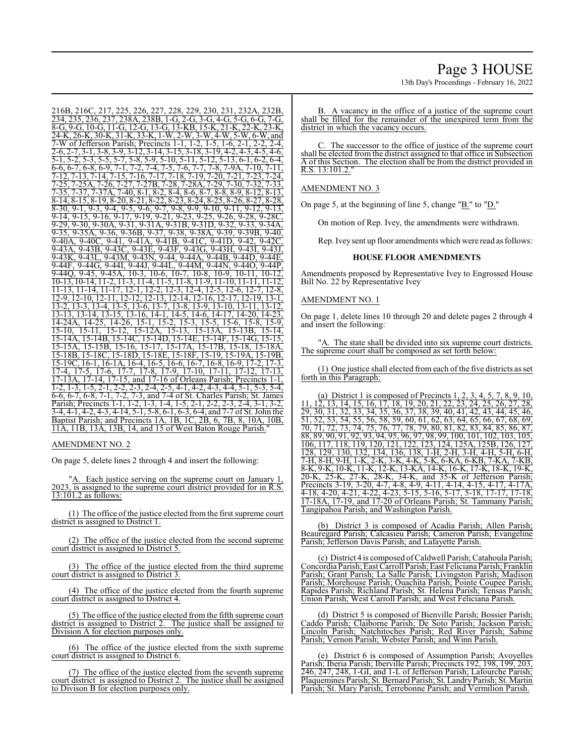216B, 216C, 217, 225, 226, 227, 228, 229, 230, 231, 232A, 232B, 234, 235, 236, 237, 238A, 238B, 1-G, 2-G, 3-G, 4-G, 5-G, 6-G, 7-G, 8-G, 9-G, 10-G, 11-G, 12-G, 13-G, 13-KB, 15-K, 21-K, 22-K, 23-K, 24-K, 26-K, 30-K, 31-K, 33-K, 1-W, 2-W, 3-W, 4-W, 5-W, 6-W, and 7-W of Jefferson Parish; Precincts 1-1, 1-2, 1-5, 1-6, 2-1, 2-2, 2-4, 2-6, 2-7, 3-1, 3-8, 3-9, 3-12, 3-14, 3-15, 3-18, 3-19, 4-2, 4-3, 4-5, 4-6, 5-1, 5-2, 5-3, 5-5, 5-7, 5-8, 5-9, 5-10, 5-11, 5-12, 5-13, 6-1, 6-2, 6-4,  $\frac{6}{6}$ ,  $\frac{6}{6}$ ,  $\frac{6}{6}$ ,  $\frac{6}{6}$ ,  $\frac{6}{6}$ ,  $\frac{6}{6}$ ,  $\frac{6}{6}$ ,  $\frac{6}{6}$ ,  $\frac{6}{6}$ ,  $\frac{6}{6}$ ,  $\frac{6}{6}$ ,  $\frac{6}{6}$ ,  $\frac{6}{6}$ ,  $\frac{6}{6}$ ,  $\frac{6}{6}$ ,  $\frac{6}{6}$ ,  $\frac{6}{6}$ ,  $\frac{6}{6}$ ,  $\frac{6}{6}$ ,  $\frac{6}{6}$ , 7-12, 7-13, 7-14, 7-15, 7-16, 7-17, 7-18, 7-19, 7-20, 7-21, 7-23, 7-24, 7-25, 7-25A, 7-26, 7-27, 7-27B, 7-28, 7-28A, 7-29, 7-30, 7-32, 7-33, 7-35, 7-37, 7-37A, 7-40, 8-1, 8-2, 8-4, 8-6, 8-7, 8-8, 8-9, 8-12, 8-13, 8-14, 8-15, 8-19, 8-20, 8-21, 8-22, 8-23, 8-24, 8-25, 8-26, 8-27, 8-28,  $\frac{8}{30, 9}$ -1, 9-3, 9-4, 9-5, 9-6, 9-7, 9-8, 9-9, 9-10, 9-11, 9-12, 9-13, 9-14, 9-15, 9-16, 9-17, 9-19, 9-21, 9-23, 9-25, 9-26, 9-28, 9-28C, 9-29, 9-30, 9-30A, 9-31, 9-31A, 9-31B, 9-31D, 9-32, 9-33, 9-34A, 9-35, 9-35A, 9-36, 9-36B, 9-37, 9-38, 9-38A, 9-39, 9-39B, 9-40, 9-40A, 9-40C, 9-41, 9-41A, 9-41B, 9-41C, 9-41D, 9-42, 9-42C, 9-43A, 9-43B, 9-43C, 9-43E, 9-43F, 9-43G, 9-43H, 9-43I, 9-43J, 9-43K, 9-43L, 9-43M, 9-43N, 9-44, 9-44A, 9-44B, 9-44D, 9-44E, 9-44F, 9-44G, 9-44I, 9-44J, 9-44L, 9-44M, 9-44N, 9-44O, 9-44P, 9-44Q, 9-45, 9-45A, 10-3, 10-6, 10-7, 10-8, 10-9, 10-11, 10-12, 10-13, 10-14, 11-2, 11-3, 11-4, 11-5, 11-8, 11-9, 11-10, 11-11, 11-12, 11-13, 11-14, 11-17, 12-1, 12-2, 12-3, 12-4, 12-5, 12-6, 12-7, 12-8, 12-9, 12-10, 12-11, 12-12, 12-13, 12-14, 12-16, 12-17, 12-19, 13-1, 13-2, 13-3, 13-4, 13-5, 13-6, 13-7, 13-8, 13-9, 13-10, 13-11, 13-12, 13-13, 13-14, 13-15, 13-16, 14-1, 14-5, 14-6, 14-17, 14-20, 14-23, 14-24A, 14-25, 14-26, 15-1, 15-2, 15-3, 15-5, 15-6, 15-8, 15-9, 15-10, 15-11, 15-12, 15-12A, 15-13, 15-13A, 15-13B, 15-14, 15-14A, 15-14B, 15-14C, 15-14D, 15-14E, 15-14F, 15-14G, 15-15, 15-15A, 15-15B, 15-16, 15-17, 15-17A, 15-17B, 15-18, 15-18A,

15-18B, 15-18C, 15-18D, 15-18E, 15-18F, 15-19, 15-19A, 15-19B, 15-19C, 16-1, 16-1A, 16-4, 16-5, 16-6, 16-7, 16-8, 16-9, 17-2, 17-3, 17-4, 17-5, 17-6, 17-7, 17-8, 17-9, 17-10, 17-11, 17-12, 17-13, 17-13A, 17-14, 17-15, and 17-16 of Orleans Parish; Precincts 1-1, 1-2, 1-3, 1-5, 2-1, 2-2, 2-3, 2-4, 2-5, 4-1, 4-2, 4-3, 4-4, 5-1, 5-3, 5-4,  $\frac{12}{6}$ , 6-7, 6-8, 7-1, 7-2, 7-3, and 7-4 of St. Charles Parish; St. James Parish; Precincts 1-1, 1-2, 1-3, 1-4, 1-5, 2-1, 2-2, 2-3, 2-4, 3-1, 3-2, 3-4, 4-1, 4-2, 4-3, 4-14, 5-1, 5-8, 6-1, 6-3, 6-4, and 7-7 of St. John the Baptist Parish; and Precincts 1A, 1B, 1C, 2B, 6, 7B, 8, 10A, 10B, 11A, 11B, 13A, 13B, 14, and 15 of West Baton Rouge Parish."

## AMENDMENT NO. 2

On page 5, delete lines 2 through 4 and insert the following:

A. Each justice serving on the supreme court on January 1, 2023, is assigned to the supreme court district provided for in R.S. 13:101.2 as follows:

(1) The office of the justice elected from the first supreme court district is assigned to District 1.

(2) The office of the justice elected from the second supreme court district is assigned to District 5.

(3) The office of the justice elected from the third supreme court district is assigned to District 3.

(4) The office of the justice elected from the fourth supreme court district is assigned to District 4.

(5) The office ofthe justice elected from the fifth supreme court district is assigned to District 2. The justice shall be assigned to Division A for election purposes only.

(6) The office of the justice elected from the sixth supreme court district is assigned to District 6.

(7) The office of the justice elected from the seventh supreme court district is assigned to District 2. The justice shall be assigned to Divison B for election purposes only.

13th Day's Proceedings - February 16, 2022

B. A vacancy in the office of a justice of the supreme court shall be filled for the remainder of the unexpired term from the district in which the vacancy occurs.

The successor to the office of justice of the supreme court shall be elected from the district assigned to that office in Subsection A of this Section. The election shall be from the district provided in R.S. 13:101.2."

#### AMENDMENT NO. 3

On page 5, at the beginning of line 5, change "B." to "D."

On motion of Rep. Ivey, the amendments were withdrawn.

Rep. Ivey sent up floor amendments which were read as follows:

#### **HOUSE FLOOR AMENDMENTS**

Amendments proposed by Representative Ivey to Engrossed House Bill No. 22 by Representative Ivey

#### AMENDMENT NO. 1

On page 1, delete lines 10 through 20 and delete pages 2 through 4 and insert the following:

"A. The state shall be divided into six supreme court districts. The supreme court shall be composed as set forth below:

(1) One justice shall elected from each of the five districts as set forth in this Paragraph:

(a) District 1 is composed of Precincts 1, 2, 3, 4, 5, 7, 8, 9, 10, 11, 12, 13, 14, 15, 16, 17, 18, 19, 20, 21, 22, 23, 24, 25, 26, 27, 28, 29, 30, 31, 32, 33, 34, 35, 36, 37, 38, 39, 40, 41, 42, 43, 44, 45, 46, 51, 52, 53, 54, 55, 56, 58, 59, 60, 61, 62, 63, 64, 65, 66, 67, 68, 69, 70, 71, 72, 73, 74, 75, 76, 77, 78, 79, 80, 81, 82, 83, 84, 85, 86, 87, 88, 89, 90, 91, 92, 93, 94, 95, 96, 97, 98, 99, 100, 101, 102, 103, 105, 106, 117, 118, 119, 120, 121, 122, 123, 124, 125A, 125B, 126, 127, 128, 129, 130, 132, 134, 136, 138, 1-H, 2-H, 3-H, 4-H, 5-H, 6-H, 7-H, 8-H, 9-H, 1-K, 2-K, 3-K, 4-K, 5-K, 6-KA, 6-KB, 7-KA, 7-KB, 8-K, 9-K, 10-K, 11-K, 12-K, 13-KA, 14-K, 16-K, 17-K, 18-K, 19-K, 20-K, 25-K, 27-K, 28-K, 34-K, and 35-K of Jefferson Parish; Precincts 3-19, 3-20, 4-7, 4-8, 4-9, 4-11, 4-14, 4-15, 4-17, 4-17A, 4-18, 4-20, 4-21, 4-22, 4-23, 5-15, 5-16, 5-17, 5-18, 17-17, 17-18, 17-18A, 17-19, and 17-20 of Orleans Parish; St. Tammany Parish; Tangipahoa Parish; and Washington Parish.

(b) District 3 is composed of Acadia Parish; Allen Parish; Beauregard Parish; Calcasieu Parish; Cameron Parish; Evangeline Parish; Jefferson Davis Parish; and Lafayette Parish.

(c) District 4 is composed ofCaldwell Parish; Catahoula Parish; Concordia Parish; East Carroll Parish;East Feliciana Parish; Franklin Parish; Grant Parish; La Salle Parish; Livingston Parish; Madison Parish; Morehouse Parish; Ouachita Parish; Pointe Coupee Parish; Rapides Parish; Richland Parish; St. Helena Parish; Tensas Parish; Union Parish; West Carroll Parish; and West Feliciana Parish.

(d) District 5 is composed of Bienville Parish; Bossier Parish; Caddo Parish; Claiborne Parish; De Soto Parish; Jackson Parish; Lincoln Parish; Natchitoches Parish; Red River Parish; Sabine Parish; Vernon Parish; Webster Parish; and Winn Parish.

(e) District 6 is composed of Assumption Parish; Avoyelles Parish; Iberia Parish; Iberville Parish; Precincts 192, 198, 199, 203, 246, 247, 248, 1-GI, and 1-L of Jefferson Parish; Lafourche Parish; Plaquemines Parish; St. Bernard Parish; St. Landry Parish; St. Martin Parish; St. Mary Parish; Terrebonne Parish; and Vermilion Parish.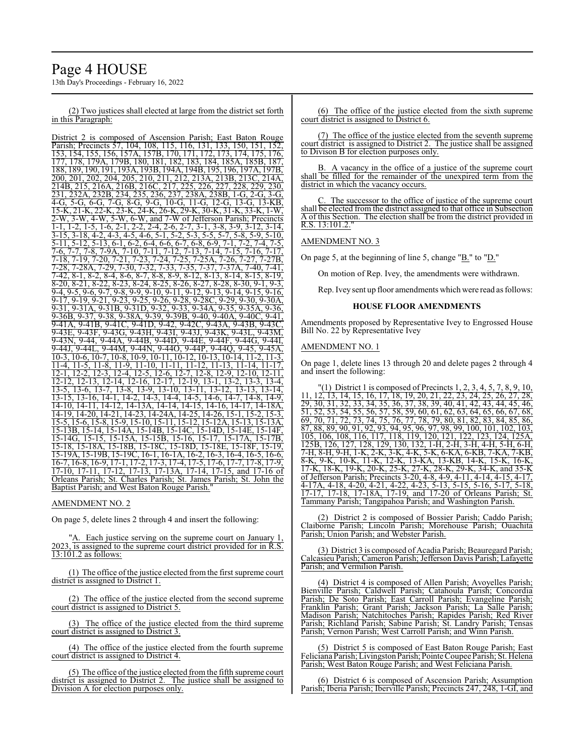# Page 4 HOUSE

13th Day's Proceedings - February 16, 2022

(2) Two justices shall elected at large from the district set forth in this Paragraph:

District 2 is composed of Ascension Parish; East Baton Rouge Parish; Precincts 57, 104, 108, 115, 116, 131, 133, 150, 151, 152, 153, 154, 155, 156, 157A, 157B, 170, 171, 172, 173, 174, 175, 176, 177, 178, 179A, 179B, 180, 181, 182, 183, 184, 185A, 185B, 187, 188, 189, 190, 191, 193A, 193B, 194A, 194B, 195, 196, 197A, 197B, 200, 201, 202, 204, 205, 210, 211, 212, 213A, 213B, 213C, 214A, 214B, 215, 216A, 216B, 216C, 217, 225, 226, 227, 228, 229, 230, 231, 232A, 232B, 234, 235, 236, 237, 238A, 238B, 1-G, 2-G, 3-G, 4-G, 5-G, 6-G, 7-G, 8-G, 9-G, 10-G, 11-G, 12-G, 13-G, 13-KB, 15-K, 21-K, 22-K, 23-K, 24-K, 26-K, 29-K, 30-K, 31-K, 33-K, 1-W, 2-W, 3-W, 4-W, 5-W, 6-W, and 7-W of Jefferson Parish; Precincts 1-1, 1-2, 1-5, 1-6, 2-1, 2-2, 2-4, 2-6, 2-7, 3-1, 3-8, 3-9, 3-12, 3-14, 3-15, 3-18, 4-2, 4-3, 4-5, 4-6, 5-1, 5-2, 5-3, 5-5, 5-7, 5-8, 5-9, 5-10, 5-11, 5-12, 5-13, 6-1, 6-2, 6-4, 6-6, 6-7, 6-8, 6-9, 7-1, 7-2, 7-4, 7-5,<br>7-6, 7-7, 7-8, 7-9A, 7-10, 7-11, 7-12, 7-13, 7-14, 7-15, 7-16, 7-17, 7-6, 7-7, 7-8, 7-9A, 7-10, 7-11, 7-12, 7-13, 7-14, 7-15, 7-16, 7-17, 7-18, 7-19, 7-20, 7-21, 7-23, 7-24, 7-25, 7-25A, 7-26, 7-27, 7-27B, 7-28, 7-28A, 7-29, 7-30, 7-32, 7-33, 7-35, 7-37, 7-37A, 7-40, 7-41, 7-42, 8-1, 8-2, 8-4, 8-6, 8-7, 8-8, 8-9, 8-12, 8-13, 8-14, 8-15, 8-19, 8-20, 8-21, 8-22, 8-23, 8-24, 8-25, 8-26, 8-27, 8-28, 8-30, 9-1, 9-3, 9-4, 9-5, 9-6, 9-7, 9-8, 9-9, 9-10, 9-11, 9-12, 9-13, 9-14, 9-15, 9-16, 9-17, 9-19, 9-21, 9-23, 9-25, 9-26, 9-28, 9-28C, 9-29, 9-30, 9-30A, 9-31, 9-31A, 9-31B, 9-31D, 9-32, 9-33, 9-34A, 9-35, 9-35A, 9-36, 9-36B, 9-37, 9-38, 9-38A, 9-39, 9-39B, 9-40, 9-40A, 9-40C, 9-41, 9-41A, 9-41B, 9-41C, 9-41D, 9-42, 9-42C, 9-43A, 9-43B, 9-43C, 9-43E, 9-43F, 9-43G, 9-43H, 9-43I, 9-43J, 9-43K, 9-43L, 9-43M, 9-43N, 9-44, 9-44A, 9-44B, 9-44D, 9-44E, 9-44F, 9-44G, 9-44I, 9-44J, 9-44L, 9-44M, 9-44N, 9-44O, 9-44P, 9-44Q, 9-45, 9-45A, 10-3, 10-6, 10-7, 10-8, 10-9, 10-11, 10-12, 10-13, 10-14, 11-2, 11-3, 11-4, 11-5, 11-8, 11-9, 11-10, 11-11, 11-12, 11-13, 11-14, 11-17, 12-1, 12-2, 12-3, 12-4, 12-5, 12-6, 12-7, 12-8, 12-9, 12-10, 12-11, 12-12, 12-13, 12-14, 12-16, 12-17, 12-19, 13-1, 13-2, 13-3, 13-4, 13-5, 13-6, 13-7, 13-8, 13-9, 13-10, 13-11, 13-12, 13-13, 13-14, 13-15, 13-16, 14-1, 14-2, 14-3, 14-4, 14-5, 14-6, 14-7, 14-8, 14-9, 14-10, 14-11, 14-12, 14-13A, 14-14, 14-15, 14-16, 14-17, 14-18A, 14-19, 14-20, 14-21, 14-23, 14-24A, 14-25, 14-26, 15-1, 15-2, 15-3, 15-5, 15-6, 15-8, 15-9, 15-10, 15-11, 15-12, 15-12A, 15-13, 15-13A, 15-13B, 15-14, 15-14A, 15-14B, 15-14C, 15-14D, 15-14E, 15-14F, 15-14G, 15-15, 15-15A, 15-15B, 15-16, 15-17, 15-17A, 15-17B, 15-18, 15-18A, 15-18B, 15-18C, 15-18D, 15-18E, 15-18F, 15-19, 15-19A, 15-19B, 15-19C, 16-1, 16-1A, 16-2, 16-3, 16-4, 16-5, 16-6, 16-7, 16-8, 16-9, 17-1, 17-2, 17-3, 17-4, 17-5, 17-6, 17-7, 17-8, 17-9, 17-10, 17-11, 17-12, 17-13, 17-13A, 17-14, 17-15, and 17-16 of Orleans Parish; St. Charles Parish; St. James Parish; St. John the Baptist Parish; and West Baton Rouge Parish."

#### AMENDMENT NO. 2

On page 5, delete lines 2 through 4 and insert the following:

"A. Each justice serving on the supreme court on January 1, 2023, is assigned to the supreme court district provided for in R.S. 13:101.2 as follows:

(1) The office of the justice elected from the first supreme court district is assigned to District 1.

(2) The office of the justice elected from the second supreme court district is assigned to District 5.

(3) The office of the justice elected from the third supreme court district is assigned to District 3.

(4) The office of the justice elected from the fourth supreme court district is assigned to District 4.

(5) The office of the justice elected fromthe fifth supreme court district is assigned to District 2. The justice shall be assigned to Division A for election purposes only.

(6) The office of the justice elected from the sixth supreme court district is assigned to District 6.

(7) The office of the justice elected from the seventh supreme court district is assigned to District 2. The justice shall be assigned to Divison B for election purposes only.

B. A vacancy in the office of a justice of the supreme court shall be filled for the remainder of the unexpired term from the district in which the vacancy occurs.

The successor to the office of justice of the supreme court shall be elected from the district assigned to that office in Subsection A of this Section. The election shall be from the district provided in  $R.S. 13:101.2.$ 

#### AMENDMENT NO. 3

On page 5, at the beginning of line 5, change " $B$ ." to " $D$ ."

On motion of Rep. Ivey, the amendments were withdrawn.

Rep. Ivey sent up floor amendments which were read as follows:

#### **HOUSE FLOOR AMENDMENTS**

Amendments proposed by Representative Ivey to Engrossed House Bill No. 22 by Representative Ivey

#### AMENDMENT NO. 1

On page 1, delete lines 13 through 20 and delete pages 2 through 4 and insert the following:

 $(1)$  District 1 is composed of Precincts 1, 2, 3, 4, 5, 7, 8, 9, 10, 11, 12, 13, 14, 15, 16, 17, 18, 19, 20, 21, 22, 23, 24, 25, 26, 27, 28, 29, 30, 31, 32, 33, 34, 35, 36, 37, 38, 39, 40, 41, 42, 43, 44, 45, 46, 51, 52, 53, 54, 55, 56, 57, 58, 59, 60, 61, 62, 63, 64, 65, 66, 67, 68, 69, 70, 71, 72, 73, 74, 75, 76, 77, 78, 79, 80, 81, 82, 83, 84, 85, 86,<br>69, 70, 71, 72, 73, 74, 75, 76, 77, 78, 79, 80, 81, 82, 83, 84, 85, 86,<br>87, 88, 89, 90, 91, 92, 93, 94, 95, 96, 97, 98, 99, 100, 101, 102, 103, 87, 88, 89, 90, 91, 92, 93, 94, 95, 96, 97, 98, 99, 100, 101, 102, 103, 105, 106, 108, 116, 117, 118, 119, 120, 121, 122, 123, 124, 125A, 125B, 126, 127, 128, 129, 130, 132, 1-H, 2-H, 3-H, 4-H, 5-H, 6-H, 7-H, 8-H, 9-H, 1-K, 2-K, 3-K, 4-K, 5-K, 6-KA, 6-KB, 7-KA, 7-KB, 8-K, 9-K, 10-K, 11-K, 12-K, 13-KA, 13-KB, 14-K, 15-K, 16-K, 17-K, 18-K, 19-K, 20-K, 25-K, 27-K, 28-K, 29-K, 34-K, and 35-K of Jefferson Parish; Precincts 3-20, 4-8, 4-9, 4-11, 4-14, 4-15, 4-17, 4-17A, 4-18, 4-20, 4-21, 4-22, 4-23, 5-13, 5-15, 5-16, 5-17, 5-18, 17-17, 17-18, 17-18A, 17-19, and 17-20 of Orleans Parish; St. Tammany Parish; Tangipahoa Parish; and Washington Parish.

(2) District 2 is composed of Bossier Parish; Caddo Parish; Claiborne Parish; Lincoln Parish; Morehouse Parish; Ouachita Parish; Union Parish; and Webster Parish.

(3) District 3 is composed of Acadia Parish; Beauregard Parish; Calcasieu Parish; Cameron Parish; Jefferson Davis Parish; Lafayette Parish; and Vermilion Parish.

(4) District 4 is composed of Allen Parish; Avoyelles Parish; Bienville Parish; Caldwell Parish; Catahoula Parish; Concordia Parish; De Soto Parish; East Carroll Parish; Evangeline Parish; Franklin Parish; Grant Parish; Jackson Parish; La Salle Parish; Madison Parish; Natchitoches Parish; Rapides Parish; Red River Parish; Richland Parish; Sabine Parish; St. Landry Parish; Tensas Parish; Vernon Parish; West Carroll Parish; and Winn Parish.

(5) District 5 is composed of East Baton Rouge Parish; East Feliciana Parish; LivingstonParish;Pointe Coupee Parish; St. Helena Parish; West Baton Rouge Parish; and West Feliciana Parish.

(6) District 6 is composed of Ascension Parish; Assumption Parish; Iberia Parish; Iberville Parish; Precincts 247, 248, 1-GI, and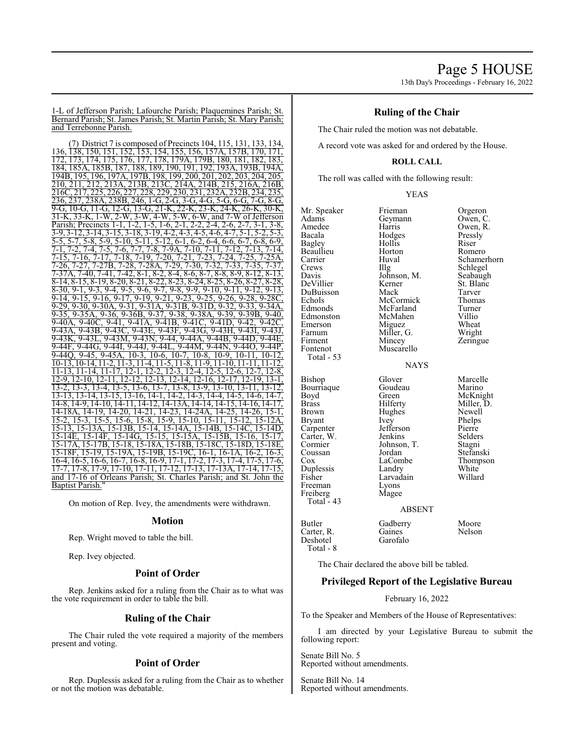1-L of Jefferson Parish; Lafourche Parish; Plaquemines Parish; St. Bernard Parish; St. James Parish; St. Martin Parish; St. Mary Parish; and Terrebonne Parish.

(7) District 7 is composed of Precincts 104, 115, 131, 133, 134, 136, 138, 150, 151, 152, 153, 154, 155, 156, 157A, 157B, 170, 171, 172, 173, 174, 175, 176, 177, 178, 179A, 179B, 180, 181, 182, 183, 184, 185A, 185B, 187, 188, 189, 190, 191, 192, 193A, 193B, 194A, 194B, 195, 196, 197A, 197B, 198, 199, 200, 201, 202, 203, 204, 205, 210, 211, 212, 213A, 213B, 213C, 214A, 214B, 215, 216A, 216B, 216C, 217, 225, 226, 227, 228, 229, 230, 231, 232A, 232B, 234, 235, 236, 237, 238A, 238B, 246, 1-G, 2-G, 3-G, 4-G, 5-G, 6-G, 7-G, 8-G, 9-G, 10-G, 11-G, 12-G, 13-G, 21-K, 22-K, 23-K, 24-K, 26-K, 30-K, 31-K, 33-K, 1-W, 2-W, 3-W, 4-W, 5-W, 6-W, and 7-W of Jefferson Parish; Precincts 1-1, 1-2, 1-5, 1-6, 2-1, 2-2, 2-4, 2-6, 2-7, 3-9, 3-12, 3-14, 3-15, 3-18, 3-19, 4-2, 4-3, 4-5, 4-6, 4-7, 5-1, 5-2, 5-3<br>5-5, 5-7, 5-8, 5-9, 5-10, 5-11, 5-12, 6-1, 6-2, 6-4, 6-6, 6-7, 6-8, 6-9, 5-5, 5-7, 5-8, 5-9, 5-10, 5-11, 5-12, 6-1, 6-2, 6-4, 6-6, 6-7, 6-8, 6-9, 7-1, 7-2, 7-4, 7-5, 7-6, 7-7, 7-8, 7-9A, 7-10, 7-11, 7-12, 7-13, 7-14, 7-15, 7-16, 7-17, 7-18, 7-19, 7-20, 7-21, 7-23, 7-24, 7-25, 7-25A, 7-26, 7-27, 7-27B, 7-28, 7-28A, 7-29, 7-30, 7-32, 7-33, 7-35, 7-37, 7-37A, 7-40, 7-41, 7-42, 8-1, 8-2, 8-4, 8-6, 8-7, 8-8, 8-9, 8-12, 8-13<br>8-14, 8-15, 8-19, 8-20, 8-21, 8-22, 8-23, 8-24, 8-25, 8-26, 8-27, 8-28 8-14, 8-15, 8-19, 8-20, 8-21, 8-22, 8-23, 8-24, 8-25, 8-26, 8-27, 8-28,  $\frac{8}{30}$ , 9-1, 9-3, 9-4, 9-5, 9-6, 9-7, 9-8, 9-9, 9-10, 9-11, 9-12, 9-13, 9-14, 9-15, 9-16, 9-17, 9-19, 9-21, 9-23, 9-25, 9-26, 9-28, 9-28C, 9-29, 9-30, 9-30A, 9-31, 9-31A, 9-31B, 9-31D, 9-32, 9-33, 9-34A, 9-35, 9-35A, 9-36, 9-36B, 9-37, 9-38, 9-38A, 9-39, 9-39B, 9-40, 9-40A, 9-40C, 9-41, 9-41A, 9-41B, 9-41C, 9-41D, 9-42, 9-42C, 9-43A, 9-43B, 9-43C, 9-43E, 9-43F, 9-43G, 9-43H, 9-43I, 9-43J, 9-43K, 9-43L, 9-43M, 9-43N, 9-44, 9-44A, 9-44B, 9-44D, 9-44E, 9-44F, 9-44G, 9-44I, 9-44J, 9-44L, 9-44M, 9-44N, 9-44O, 9-44P, 9-44Q, 9-45, 9-45A, 10-3, 10-6, 10-7, 10-8, 10-9, 10-11, 10-12, 10-13, 10-14, 11-2, 11-3, 11-4, 11-5, 11-8, 11-9, 11-10, 11-11, 11-12, 11-13, 11-14, 11-17, 12-1, 12-2, 12-3, 12-4, 12-5, 12-6, 12-7, 12-8, 12-9, 12-10, 12-11, 12-12, 12-13, 12-14, 12-16, 12-17, 12-19, 13-1, 13-2, 13-3, 13-4, 13-5, 13-6, 13-7, 13-8, 13-9, 13-10, 13-11, 13-12, 13-13, 13-14, 13-15, 13-16, 14-1, 14-2, 14-3, 14-4, 14-5, 14-6, 14-7, 14-8, 14-9, 14-10, 14-11, 14-12, 14-13A, 14-14, 14-15, 14-16, 14-17, 14-18A, 14-19, 14-20, 14-21, 14-23, 14-24A, 14-25, 14-26, 15-1, 15-2, 15-3, 15-5, 15-6, 15-8, 15-9, 15-10, 15-11, 15-12, 15-12A, 15-13, 15-13A, 15-13B, 15-14, 15-14A, 15-14B, 15-14C, 15-14D, 15-14E, 15-14F, 15-14G, 15-15, 15-15A, 15-15B, 15-16, 15-17, 15-17A, 15-17B, 15-18, 15-18A, 15-18B, 15-18C, 15-18D, 15-18E, 15-18F, 15-19, 15-19A, 15-19B, 15-19C, 16-1, 16-1A, 16-2, 16-3, 16-4, 16-5, 16-6, 16-7, 16-8, 16-9, 17-1, 17-2, 17-3, 17-4, 17-5, 17-6, 17-7, 17-8, 17-9, 17-10, 17-11, 17-12, 17-13, 17-13A, 17-14, 17-15, and 17-16 of Orleans Parish; St. Charles Parish; and St. John the Baptist Parish."

On motion of Rep. Ivey, the amendments were withdrawn.

#### **Motion**

Rep. Wright moved to table the bill.

Rep. Ivey objected.

## **Point of Order**

Rep. Jenkins asked for a ruling from the Chair as to what was the vote requirement in order to table the bill.

## **Ruling of the Chair**

The Chair ruled the vote required a majority of the members present and voting.

#### **Point of Order**

Rep. Duplessis asked for a ruling from the Chair as to whether or not the motion was debatable.

## **Ruling of the Chair**

The Chair ruled the motion was not debatable.

A record vote was asked for and ordered by the House.

## **ROLL CALL**

The roll was called with the following result:

| <b>YEAS</b> |
|-------------|
|             |

Mr. Speaker Frieman Orgeron<br>Adams Geymann Owen, C Adams Geymann<br>Amedee Harris Amedee Harris Owen, R.<br>Bacala Hodges Pressly Bagley Hollis Riser Beaullieu Horton<br>Carrier Huval Carrier Huval Schamerhorn<br>Crews IIIg Schlegel Crews Illg Schlegel Davis Johnson, M. Seabaugh DeVillier Kerner St. Blanc DuBuisson Mack Tarver Echols McCormick Thoma<br>
Edmonds McFarland Turner Edmonston McMahen Villio<br>Emerson Miguez Wheat Emerson Miguez Wheat<br>
Farnum Miller, G. Wright Farnum Miller, G.<br>Firment Mincey Fontenot Muscarello Total - 53 Bishop Glover Marcelle<br>Bourriaque Goudeau Marino Bourriaque Goude<br>Boyd Green Boyd Green McKnight<br>Brass Hilferty Miller, D. Brown Hughes Newell<br>Bryant Ivey Phelps Bryant Ivey Phelps<br>
Carpenter Jefferson Pierre Carter, W. Jenkins Selders<br>Cormier Johnson T. Stagni Cormier Johnson, T.<br>Coussan Jordan Coussan Jordan Stefanski<br>Cox LaCombe Thompso Duplessis Landry White<br>
Fisher Larvadain Willard Freeman Lyons<br>Freiberg Magee Freiberg Total  $-43$ 

Hodges Pressl<br>Hollis Riser McFarland Turner<br>
McMahen Villio

**NAYS** 

Larvadain<br>Lyons

Zeringue Miller, D. Jefferson Pierre<br>
Jenkins Selders LaCombe Thompson<br>Landry White

#### ABSENT

Butler Gadberry Moore<br>Carter, R. Gaines Nelson Carter, R. Gaines<br>Deshotel Garofalo Deshotel Total - 8

The Chair declared the above bill be tabled.

#### **Privileged Report of the Legislative Bureau**

February 16, 2022

To the Speaker and Members of the House of Representatives:

I am directed by your Legislative Bureau to submit the following report:

Senate Bill No. 5 Reported without amendments.

Senate Bill No. 14 Reported without amendments.